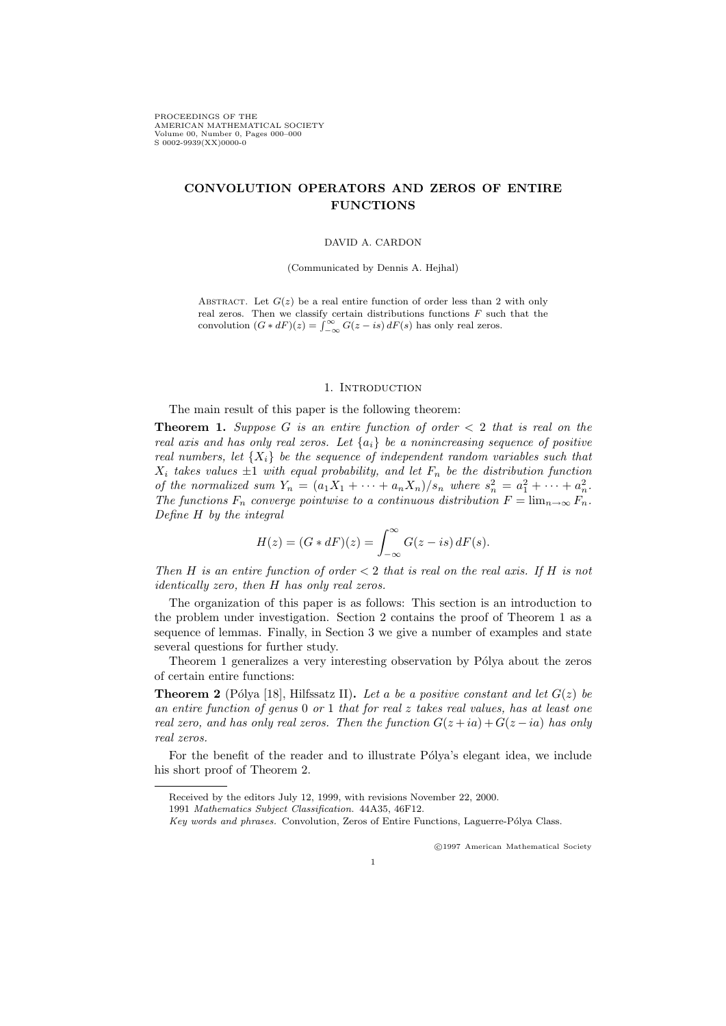PROCEEDINGS OF THE AMERICAN MATHEMATICAL SOCIETY Volume 00, Number 0, Pages 000–000 S 0002-9939(XX)0000-0

# CONVOLUTION OPERATORS AND ZEROS OF ENTIRE FUNCTIONS

#### DAVID A. CARDON

(Communicated by Dennis A. Hejhal)

ABSTRACT. Let  $G(z)$  be a real entire function of order less than 2 with only real zeros. Then we classify certain distributions functions  $F$  such that the convolution  $(G * dF)(z) = \int_{-\infty}^{\infty} G(z - is) dF(s)$  has only real zeros.

# 1. INTRODUCTION

The main result of this paper is the following theorem:

**Theorem 1.** Suppose G is an entire function of order  $\lt 2$  that is real on the real axis and has only real zeros. Let  ${a_i}$  be a nonincreasing sequence of positive real numbers, let  $\{X_i\}$  be the sequence of independent random variables such that  $X_i$  takes values  $\pm 1$  with equal probability, and let  $F_n$  be the distribution function of the normalized sum  $Y_n = (a_1X_1 + \cdots + a_nX_n)/s_n$  where  $s_n^2 = a_1^2 + \cdots + a_n^2$ . The functions  $F_n$  converge pointwise to a continuous distribution  $F = \lim_{n \to \infty} F_n$ . Define H by the integral

$$
H(z) = (G * dF)(z) = \int_{-\infty}^{\infty} G(z - is) dF(s).
$$

Then H is an entire function of order  $\lt 2$  that is real on the real axis. If H is not identically zero, then H has only real zeros.

The organization of this paper is as follows: This section is an introduction to the problem under investigation. Section 2 contains the proof of Theorem 1 as a sequence of lemmas. Finally, in Section 3 we give a number of examples and state several questions for further study.

Theorem 1 generalizes a very interesting observation by Pólya about the zeros of certain entire functions:

**Theorem 2** (Pólya [18], Hilfssatz II). Let a be a positive constant and let  $G(z)$  be an entire function of genus  $0$  or  $1$  that for real z takes real values, has at least one real zero, and has only real zeros. Then the function  $G(z + ia) + G(z - ia)$  has only real zeros.

For the benefit of the reader and to illustrate Pólya's elegant idea, we include his short proof of Theorem 2.

c 1997 American Mathematical Society

Received by the editors July 12, 1999, with revisions November 22, 2000.

<sup>1991</sup> Mathematics Subject Classification. 44A35, 46F12.

Key words and phrases. Convolution, Zeros of Entire Functions, Laguerre-Pólya Class.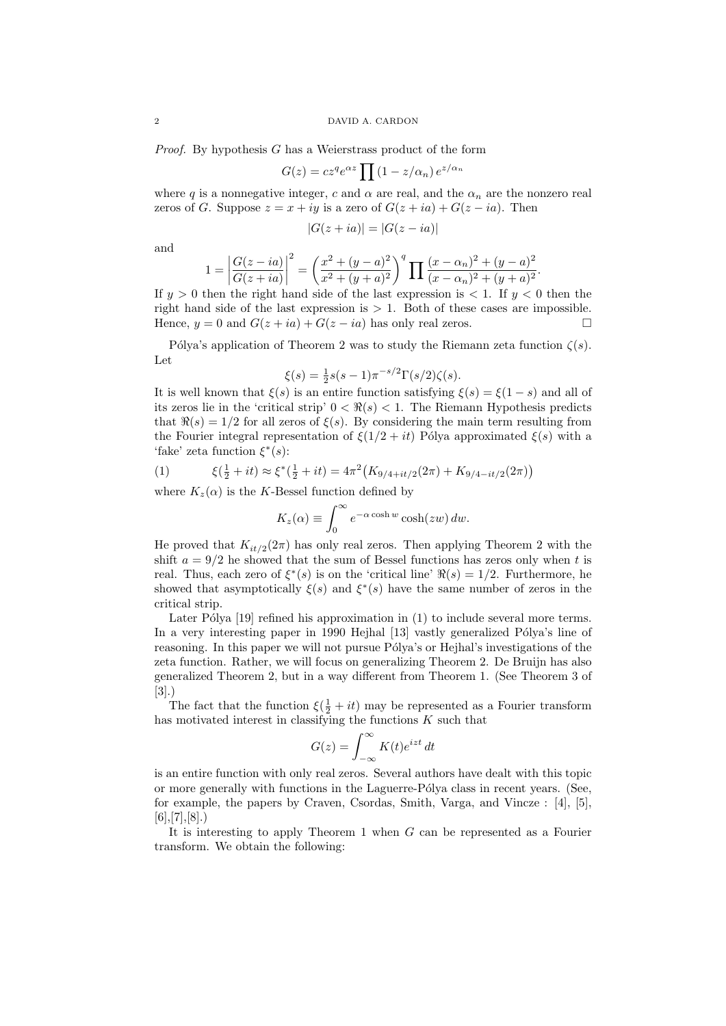#### 2 DAVID A. CARDON

Proof. By hypothesis G has a Weierstrass product of the form

$$
G(z) = cz^q e^{\alpha z} \prod (1 - z/\alpha_n) e^{z/\alpha_n}
$$

where q is a nonnegative integer, c and  $\alpha$  are real, and the  $\alpha_n$  are the nonzero real zeros of G. Suppose  $z = x + iy$  is a zero of  $G(z + ia) + G(z - ia)$ . Then

$$
|G(z+ia)| = |G(z-ia)|
$$

and

$$
1 = \left| \frac{G(z - ia)}{G(z + ia)} \right|^2 = \left( \frac{x^2 + (y - a)^2}{x^2 + (y + a)^2} \right)^q \prod \frac{(x - \alpha_n)^2 + (y - a)^2}{(x - \alpha_n)^2 + (y + a)^2}.
$$

If  $y > 0$  then the right hand side of the last expression is  $\lt 1$ . If  $y < 0$  then the right hand side of the last expression is  $> 1$ . Both of these cases are impossible. Hence,  $y = 0$  and  $G(z + ia) + G(z - ia)$  has only real zeros.

Pólya's application of Theorem 2 was to study the Riemann zeta function  $\zeta(s)$ . Let

$$
\xi(s) = \frac{1}{2}s(s-1)\pi^{-s/2}\Gamma(s/2)\zeta(s).
$$

It is well known that  $\xi(s)$  is an entire function satisfying  $\xi(s) = \xi(1-s)$  and all of its zeros lie in the 'critical strip'  $0 < \Re(s) < 1$ . The Riemann Hypothesis predicts that  $\Re(s) = 1/2$  for all zeros of  $\xi(s)$ . By considering the main term resulting from the Fourier integral representation of  $\xi(1/2 + it)$  Pólya approximated  $\xi(s)$  with a 'fake' zeta function  $\xi^*(s)$ :

(1) 
$$
\xi(\frac{1}{2} + it) \approx \xi^*(\frac{1}{2} + it) = 4\pi^2 (K_{9/4+it/2}(2\pi) + K_{9/4-it/2}(2\pi))
$$

where  $K_z(\alpha)$  is the K-Bessel function defined by

$$
K_z(\alpha) \equiv \int_0^\infty e^{-\alpha \cosh w} \cosh(zw) \, dw.
$$

He proved that  $K_{it/2}(2\pi)$  has only real zeros. Then applying Theorem 2 with the shift  $a = 9/2$  he showed that the sum of Bessel functions has zeros only when t is real. Thus, each zero of  $\xi^*(s)$  is on the 'critical line'  $\Re(s) = 1/2$ . Furthermore, he showed that asymptotically  $\xi(s)$  and  $\xi^*(s)$  have the same number of zeros in the critical strip.

Later Pólya  $[19]$  refined his approximation in  $(1)$  to include several more terms. In a very interesting paper in 1990 Hejhal [13] vastly generalized Pólya's line of reasoning. In this paper we will not pursue Pólya's or Hejhal's investigations of the zeta function. Rather, we will focus on generalizing Theorem 2. De Bruijn has also generalized Theorem 2, but in a way different from Theorem 1. (See Theorem 3 of [3].)

The fact that the function  $\xi(\frac{1}{2} + it)$  may be represented as a Fourier transform has motivated interest in classifying the functions  $K$  such that

$$
G(z) = \int_{-\infty}^{\infty} K(t)e^{izt} dt
$$

is an entire function with only real zeros. Several authors have dealt with this topic or more generally with functions in the Laguerre-Pólya class in recent years. (See, for example, the papers by Craven, Csordas, Smith, Varga, and Vincze : [4], [5],  $[6], [7], [8].$ 

It is interesting to apply Theorem 1 when  $G$  can be represented as a Fourier transform. We obtain the following: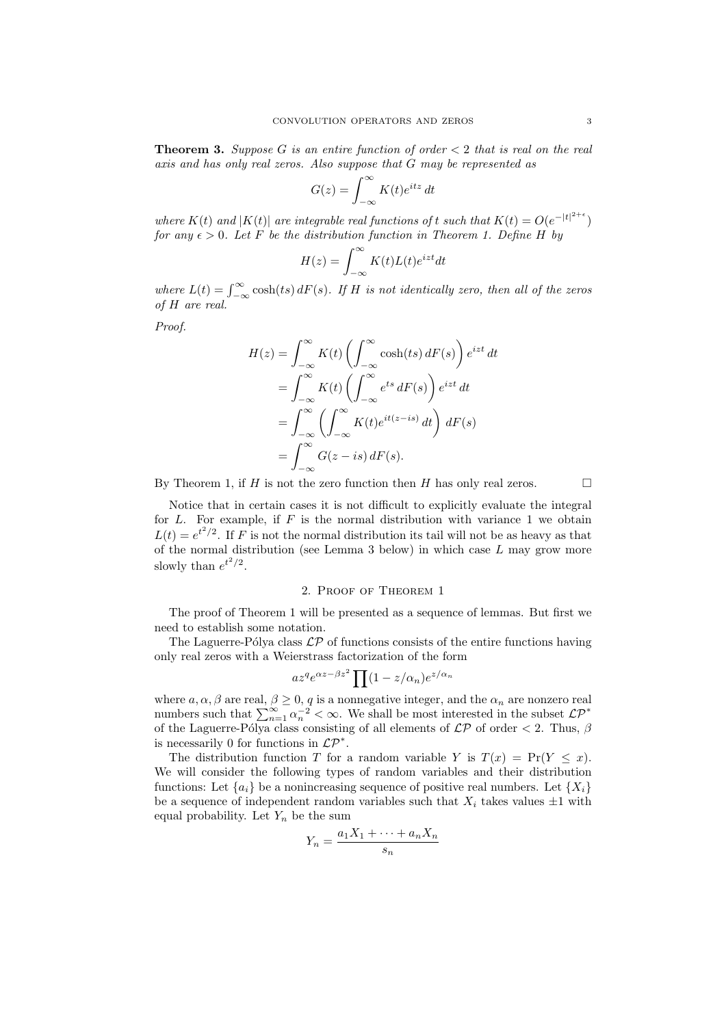**Theorem 3.** Suppose G is an entire function of order  $\lt 2$  that is real on the real axis and has only real zeros. Also suppose that G may be represented as

$$
G(z) = \int_{-\infty}^{\infty} K(t)e^{itz} dt
$$

where  $K(t)$  and  $|K(t)|$  are integrable real functions of t such that  $K(t) = O(e^{-|t|^{2+\epsilon}})$ for any  $\epsilon > 0$ . Let F be the distribution function in Theorem 1. Define H by

$$
H(z) = \int_{-\infty}^{\infty} K(t)L(t)e^{izt}dt
$$

where  $L(t) = \int_{-\infty}^{\infty} \cosh(ts) dF(s)$ . If H is not identically zero, then all of the zeros of H are real.

Proof.

$$
H(z) = \int_{-\infty}^{\infty} K(t) \left( \int_{-\infty}^{\infty} \cosh(ts) dF(s) \right) e^{izt} dt
$$
  
= 
$$
\int_{-\infty}^{\infty} K(t) \left( \int_{-\infty}^{\infty} e^{ts} dF(s) \right) e^{izt} dt
$$
  
= 
$$
\int_{-\infty}^{\infty} \left( \int_{-\infty}^{\infty} K(t) e^{it(z-is)} dt \right) dF(s)
$$
  
= 
$$
\int_{-\infty}^{\infty} G(z-is) dF(s).
$$

By Theorem 1, if H is not the zero function then H has only real zeros.  $\Box$ 

Notice that in certain cases it is not difficult to explicitly evaluate the integral for  $L$ . For example, if  $F$  is the normal distribution with variance 1 we obtain  $L(t) = e^{t^2/2}$ . If F is not the normal distribution its tail will not be as heavy as that of the normal distribution (see Lemma 3 below) in which case  $L$  may grow more slowly than  $e^{t^2/2}$ .

### 2. Proof of Theorem 1

The proof of Theorem 1 will be presented as a sequence of lemmas. But first we need to establish some notation.

The Laguerre-Pólya class  $\mathcal{LP}$  of functions consists of the entire functions having only real zeros with a Weierstrass factorization of the form

$$
az^q e^{\alpha z - \beta z^2} \prod (1 - z/\alpha_n) e^{z/\alpha_n}
$$

where  $a, \alpha, \beta$  are real,  $\beta \geq 0$ , q is a nonnegative integer, and the  $\alpha_n$  are nonzero real numbers such that  $\sum_{n=1}^{\infty} \alpha_n^{-2} < \infty$ . We shall be most interested in the subset  $\mathcal{LP}^*$ of the Laguerre-Pólya class consisting of all elements of  $\mathcal{LP}$  of order  $\lt 2$ . Thus,  $\beta$ is necessarily 0 for functions in  $\mathcal{LP}^*$ .

The distribution function T for a random variable Y is  $T(x) = Pr(Y \leq x)$ . We will consider the following types of random variables and their distribution functions: Let  $\{a_i\}$  be a nonincreasing sequence of positive real numbers. Let  $\{X_i\}$ be a sequence of independent random variables such that  $X_i$  takes values  $\pm 1$  with equal probability. Let  $Y_n$  be the sum

$$
Y_n = \frac{a_1 X_1 + \dots + a_n X_n}{s_n}
$$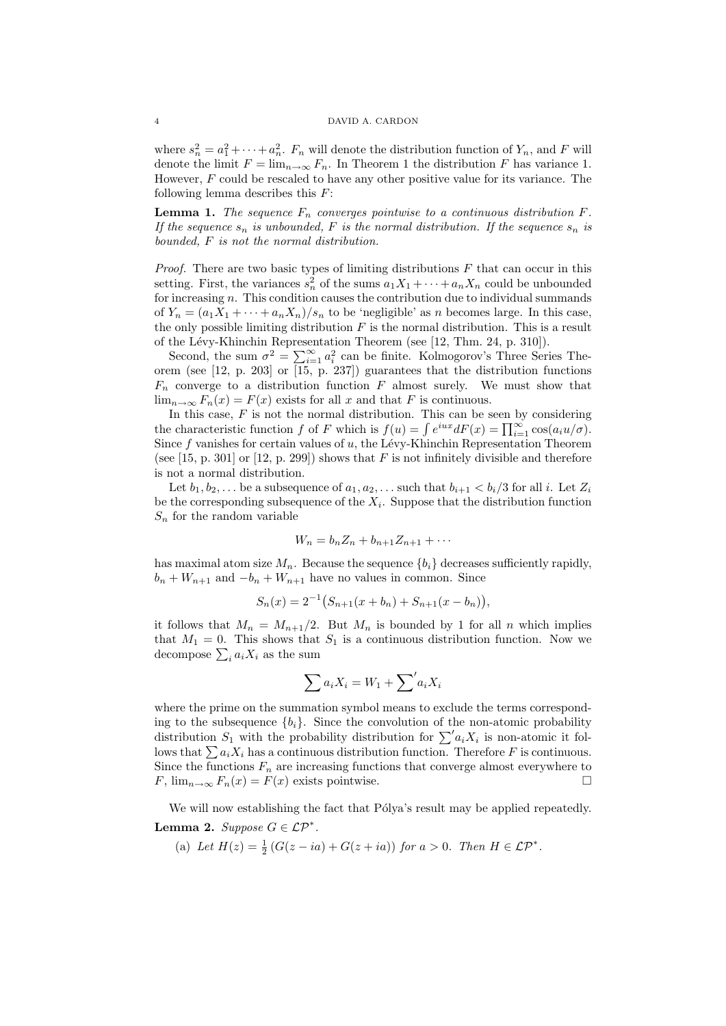where  $s_n^2 = a_1^2 + \cdots + a_n^2$ .  $F_n$  will denote the distribution function of  $Y_n$ , and F will denote the limit  $F = \lim_{n \to \infty} F_n$ . In Theorem 1 the distribution F has variance 1. However,  $F$  could be rescaled to have any other positive value for its variance. The following lemma describes this  $F$ :

**Lemma 1.** The sequence  $F_n$  converges pointwise to a continuous distribution  $F$ . If the sequence  $s_n$  is unbounded, F is the normal distribution. If the sequence  $s_n$  is bounded, F is not the normal distribution.

*Proof.* There are two basic types of limiting distributions  $F$  that can occur in this setting. First, the variances  $s_n^2$  of the sums  $a_1X_1 + \cdots + a_nX_n$  could be unbounded for increasing  $n$ . This condition causes the contribution due to individual summands of  $Y_n = (a_1X_1 + \cdots + a_nX_n)/s_n$  to be 'negligible' as n becomes large. In this case, the only possible limiting distribution  $F$  is the normal distribution. This is a result of the L´evy-Khinchin Representation Theorem (see [12, Thm. 24, p. 310]).

Second, the sum  $\sigma^2 = \sum_{i=1}^{\infty} a_i^2$  can be finite. Kolmogorov's Three Series Theorem (see  $[12, p. 203]$  or  $[15, p. 237]$ ) guarantees that the distribution functions  $F_n$  converge to a distribution function F almost surely. We must show that  $\lim_{n\to\infty} F_n(x) = F(x)$  exists for all x and that F is continuous.

In this case,  $F$  is not the normal distribution. This can be seen by considering the characteristic function f of F which is  $f(u) = \int e^{iux} dF(x) = \prod_{i=1}^{\infty} \cos(a_i u/\sigma)$ . Since  $f$  vanishes for certain values of  $u$ , the Lévy-Khinchin Representation Theorem (see [15, p. 301] or [12, p. 299]) shows that  $F$  is not infinitely divisible and therefore is not a normal distribution.

Let  $b_1, b_2, \ldots$  be a subsequence of  $a_1, a_2, \ldots$  such that  $b_{i+1} < b_i/3$  for all i. Let  $Z_i$ be the corresponding subsequence of the  $X_i$ . Suppose that the distribution function  $S_n$  for the random variable

$$
W_n = b_n Z_n + b_{n+1} Z_{n+1} + \cdots
$$

has maximal atom size  $M_n$ . Because the sequence  $\{b_i\}$  decreases sufficiently rapidly,  $b_n + W_{n+1}$  and  $-b_n + W_{n+1}$  have no values in common. Since

$$
S_n(x) = 2^{-1} \big( S_{n+1}(x + b_n) + S_{n+1}(x - b_n) \big),
$$

it follows that  $M_n = M_{n+1}/2$ . But  $M_n$  is bounded by 1 for all n which implies that  $M_1 = 0$ . This shows that  $S_1$  is a continuous distribution function. Now we decompose  $\sum_i a_i X_i$  as the sum

$$
\sum a_i X_i = W_1 + \sum' a_i X_i
$$

where the prime on the summation symbol means to exclude the terms corresponding to the subsequence  ${b_i}$ . Since the convolution of the non-atomic probability distribution  $S_1$  with the probability distribution for  $\sum a_i X_i$  is non-atomic it follows that  $\sum a_i X_i$  has a continuous distribution function. Therefore F is continuous. Since the functions  $F_n$  are increasing functions that converge almost everywhere to F,  $\lim_{n\to\infty} F_n(x) = F(x)$  exists pointwise.

We will now establishing the fact that Pólya's result may be applied repeatedly. Lemma 2. Suppose  $G \in \mathcal{LP}^*$ .

(a) Let  $H(z) = \frac{1}{2} \left( G(z - ia) + G(z + ia) \right)$  for  $a > 0$ . Then  $H \in \mathcal{LP}^*$ .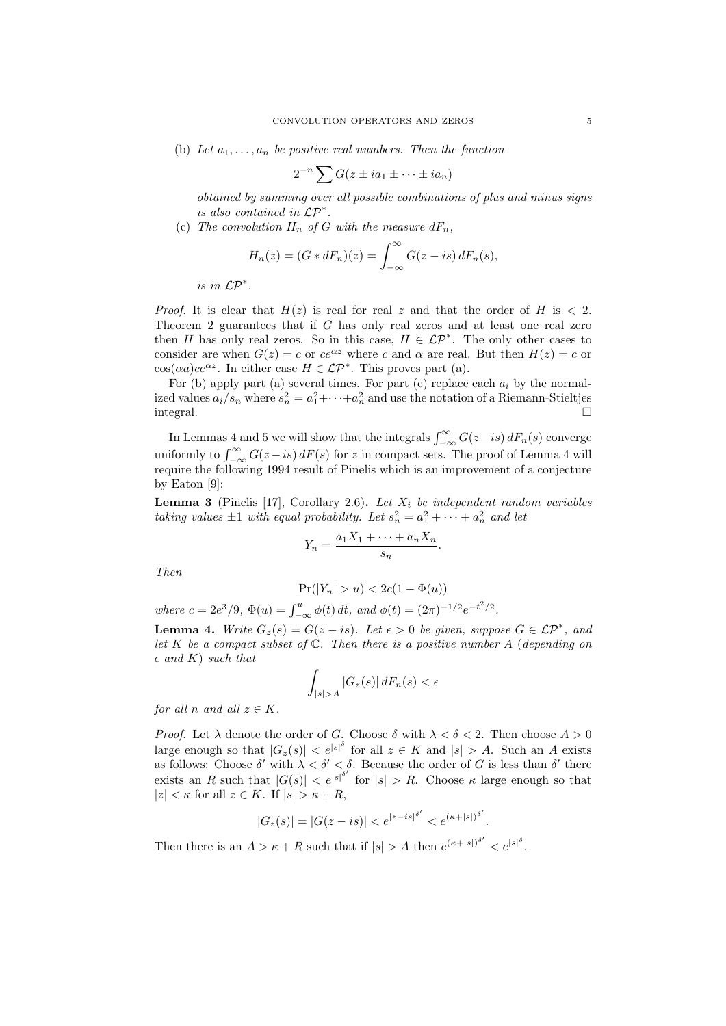(b) Let  $a_1, \ldots, a_n$  be positive real numbers. Then the function

$$
2^{-n} \sum G(z \pm ia_1 \pm \cdots \pm ia_n)
$$

obtained by summing over all possible combinations of plus and minus signs is also contained in LP<sup>∗</sup> .

(c) The convolution  $H_n$  of G with the measure  $dF_n$ ,

$$
H_n(z) = (G * dF_n)(z) = \int_{-\infty}^{\infty} G(z - is) dF_n(s),
$$

is in LP<sup>∗</sup> .

*Proof.* It is clear that  $H(z)$  is real for real z and that the order of H is  $\lt 2$ . Theorem 2 guarantees that if G has only real zeros and at least one real zero then H has only real zeros. So in this case,  $H \in \mathcal{LP}^*$ . The only other cases to consider are when  $G(z) = c$  or  $ce^{\alpha z}$  where c and  $\alpha$  are real. But then  $H(z) = c$  or  $\cos(\alpha a)ce^{\alpha z}$ . In either case  $H \in \mathcal{LP}^*$ . This proves part (a).

For (b) apply part (a) several times. For part (c) replace each  $a_i$  by the normalized values  $a_i/s_n$  where  $s_n^2 = a_1^2 + \cdots + a_n^2$  and use the notation of a Riemann-Stieltjes integral.

In Lemmas 4 and 5 we will show that the integrals  $\int_{-\infty}^{\infty} G(z-is) dF_n(s)$  converge uniformly to  $\int_{-\infty}^{\infty} G(z - is) dF(s)$  for z in compact sets. The proof of Lemma 4 will require the following 1994 result of Pinelis which is an improvement of a conjecture by Eaton [9]:

**Lemma 3** (Pinelis [17], Corollary 2.6). Let  $X_i$  be independent random variables taking values  $\pm 1$  with equal probability. Let  $s_n^2 = a_1^2 + \cdots + a_n^2$  and let

$$
Y_n = \frac{a_1 X_1 + \dots + a_n X_n}{s_n}.
$$

Then

$$
Pr(|Y_n| > u) < 2c(1 - \Phi(u))
$$

where  $c = 2e^3/9$ ,  $\Phi(u) = \int_{-\infty}^u \phi(t) dt$ , and  $\phi(t) = (2\pi)^{-1/2} e^{-t^2/2}$ .

**Lemma 4.** Write  $G_z(s) = G(z - is)$ . Let  $\epsilon > 0$  be given, suppose  $G \in \mathcal{LP}^*$ , and let K be a compact subset of  $\mathbb C$ . Then there is a positive number A (depending on  $\epsilon$  and K) such that

$$
\int_{|s|>A} |G_z(s)| \, dF_n(s) < \epsilon
$$

for all n and all  $z \in K$ .

*Proof.* Let  $\lambda$  denote the order of G. Choose  $\delta$  with  $\lambda < \delta < 2$ . Then choose  $A > 0$ large enough so that  $|G_z(s)| < e^{|s|\delta}$  for all  $z \in K$  and  $|s| > A$ . Such an A exists as follows: Choose  $\delta'$  with  $\lambda < \delta' < \delta$ . Because the order of G is less than  $\delta'$  there exists an R such that  $|G(s)| < e^{|s|^{b'}}$  for  $|s| > R$ . Choose  $\kappa$  large enough so that  $|z| < \kappa$  for all  $z \in K$ . If  $|s| > \kappa + R$ ,

$$
|G_z(s)| = |G(z - is)| < e^{|z - is|^{\delta'}} < e^{(\kappa + |s|)^{\delta'}}.
$$

Then there is an  $A > \kappa + R$  such that if  $|s| > A$  then  $e^{(\kappa + |s|)^{\delta'}} < e^{|s|^{\delta}}$ .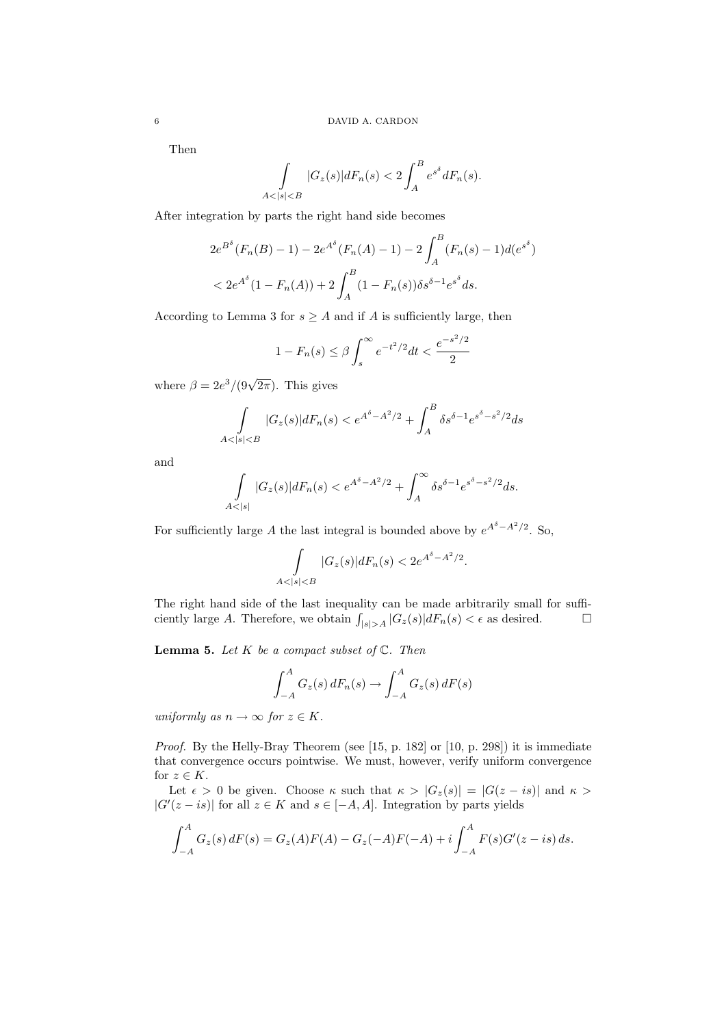Then

$$
\int_{A<|s|
$$

After integration by parts the right hand side becomes

$$
2e^{B^{\delta}}(F_n(B) - 1) - 2e^{A^{\delta}}(F_n(A) - 1) - 2\int_A^B (F_n(s) - 1)d(e^{s^{\delta}})
$$
  
< 
$$
< 2e^{A^{\delta}}(1 - F_n(A)) + 2\int_A^B (1 - F_n(s))\delta s^{\delta - 1}e^{s^{\delta}}ds.
$$

According to Lemma 3 for  $s \geq A$  and if A is sufficiently large, then

$$
1 - F_n(s) \le \beta \int_s^{\infty} e^{-t^2/2} dt < \frac{e^{-s^2/2}}{2}
$$

where  $\beta = 2e^3/(9\sqrt{2\pi})$ . This gives

$$
\int_{A < |s| < B} |G_z(s)| dF_n(s) < e^{A^\delta - A^2/2} + \int_A^B \delta s^{\delta - 1} e^{s^\delta - s^2/2} ds
$$

and

$$
\int_{A < |s|} |G_z(s)| dF_n(s) < e^{A^\delta - A^2/2} + \int_A^\infty \delta s^{\delta - 1} e^{s^\delta - s^2/2} ds.
$$

For sufficiently large A the last integral is bounded above by  $e^{A^{\delta}-A^2/2}$ . So,

$$
\int_{A<|s|
$$

The right hand side of the last inequality can be made arbitrarily small for sufficiently large A. Therefore, we obtain  $\int_{|s|>A} |G_z(s)| dF_n(s) < \epsilon$  as desired.

**Lemma 5.** Let  $K$  be a compact subset of  $\mathbb{C}$ . Then

$$
\int_{-A}^{A} G_z(s) dF_n(s) \to \int_{-A}^{A} G_z(s) dF(s)
$$

uniformly as  $n \to \infty$  for  $z \in K$ .

Proof. By the Helly-Bray Theorem (see [15, p. 182] or [10, p. 298]) it is immediate that convergence occurs pointwise. We must, however, verify uniform convergence for  $z \in K$ .

Let  $\epsilon > 0$  be given. Choose  $\kappa$  such that  $\kappa > |G_z(s)| = |G(z - is)|$  and  $\kappa >$  $|G'(z-is)|$  for all  $z \in K$  and  $s \in [-A, A]$ . Integration by parts yields

$$
\int_{-A}^{A} G_z(s) dF(s) = G_z(A)F(A) - G_z(-A)F(-A) + i \int_{-A}^{A} F(s)G'(z - is) ds.
$$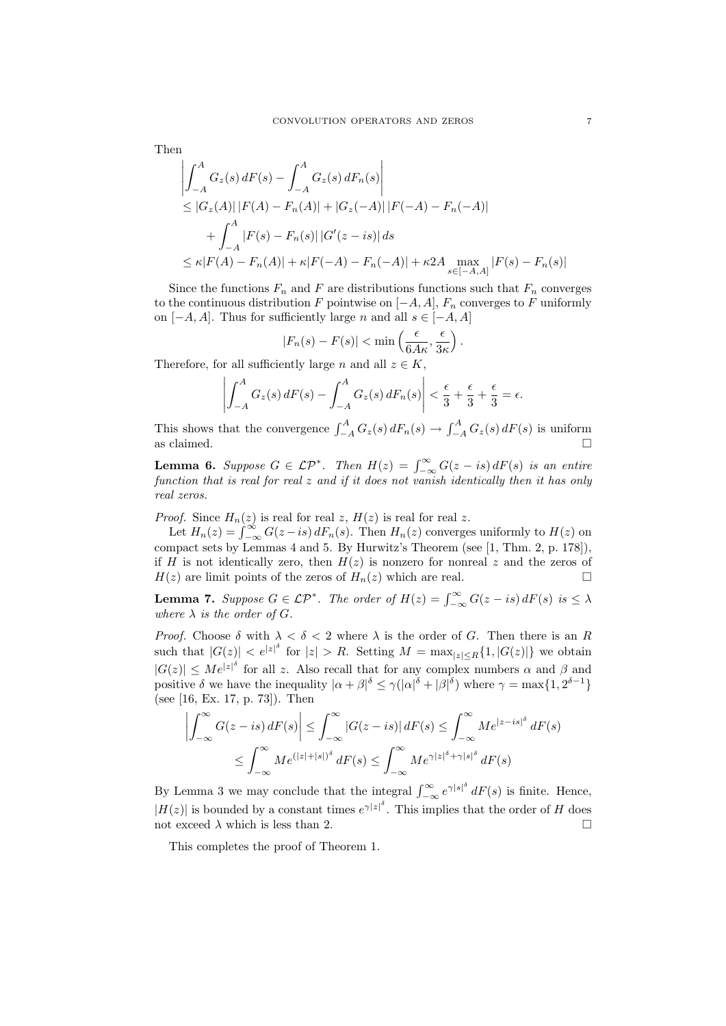Then

$$
\left| \int_{-A}^{A} G_z(s) dF(s) - \int_{-A}^{A} G_z(s) dF_n(s) \right|
$$
  
\n
$$
\leq |G_z(A)| |F(A) - F_n(A)| + |G_z(-A)| |F(-A) - F_n(-A)|
$$
  
\n
$$
+ \int_{-A}^{A} |F(s) - F_n(s)| |G'(z - is)| ds
$$
  
\n
$$
\leq \kappa |F(A) - F_n(A)| + \kappa |F(-A) - F_n(-A)| + \kappa 2A \max_{s \in [-A, A]} |F(s) - F_n(s)|
$$

Since the functions  $F_n$  and F are distributions functions such that  $F_n$  converges to the continuous distribution F pointwise on  $[-A, A]$ ,  $F_n$  converges to F uniformly on  $[-A, A]$ . Thus for sufficiently large n and all  $s \in [-A, A]$ 

$$
|F_n(s) - F(s)| < \min\left(\frac{\epsilon}{6A\kappa}, \frac{\epsilon}{3\kappa}\right).
$$

Therefore, for all sufficiently large n and all  $z \in K$ ,

$$
\left| \int_{-A}^{A} G_z(s) dF(s) - \int_{-A}^{A} G_z(s) dF_n(s) \right| < \frac{\epsilon}{3} + \frac{\epsilon}{3} + \frac{\epsilon}{3} = \epsilon.
$$

This shows that the convergence  $\int_{-A}^{A} G_z(s) dF_n(s) \to \int_{-A}^{A} G_z(s) dF(s)$  is uniform as claimed.  $\Box$ 

**Lemma 6.** Suppose  $G \in \mathcal{LP}^*$ . Then  $H(z) = \int_{-\infty}^{\infty} G(z - is) dF(s)$  is an entire function that is real for real  $z$  and if it does not vanish identically then it has only real zeros.

*Proof.* Since  $H_n(z)$  is real for real z,  $H(z)$  is real for real z.

Let  $H_n(z) = \int_{-\infty}^{\infty} G(z - is) dF_n(s)$ . Then  $H_n(z)$  converges uniformly to  $H(z)$  on compact sets by Lemmas 4 and 5. By Hurwitz's Theorem (see [1, Thm. 2, p. 178]), if H is not identically zero, then  $H(z)$  is nonzero for nonreal z and the zeros of  $H(z)$  are limit points of the zeros of  $H_n(z)$  which are real.

**Lemma 7.** Suppose  $G \in \mathcal{LP}^*$ . The order of  $H(z) = \int_{-\infty}^{\infty} G(z - is) dF(s)$  is  $\leq \lambda$ where  $\lambda$  is the order of G.

*Proof.* Choose  $\delta$  with  $\lambda < \delta < 2$  where  $\lambda$  is the order of G. Then there is an R such that  $|G(z)| < e^{|z|^{\delta}}$  for  $|z| > R$ . Setting  $M = \max_{|z| \le R} \{1, |G(z)|\}$  we obtain  $|G(z)| \leq Me^{|z|^{\delta}}$  for all z. Also recall that for any complex numbers  $\alpha$  and  $\beta$  and positive  $\delta$  we have the inequality  $|\alpha + \beta|^{\delta} \leq \gamma(|\alpha|^{\delta} + |\beta|^{\delta})$  where  $\gamma = \max\{1, 2^{\delta - 1}\}\$ (see [16, Ex. 17, p. 73]). Then

$$
\left| \int_{-\infty}^{\infty} G(z - is) dF(s) \right| \leq \int_{-\infty}^{\infty} |G(z - is)| dF(s) \leq \int_{-\infty}^{\infty} Me^{|z - is|^{\delta}} dF(s)
$$
  

$$
\leq \int_{-\infty}^{\infty} Me^{(|z| + |s|)^{\delta}} dF(s) \leq \int_{-\infty}^{\infty} Me^{\gamma |z|^{\delta} + \gamma |s|^{\delta}} dF(s)
$$

By Lemma 3 we may conclude that the integral  $\int_{-\infty}^{\infty} e^{\gamma |s|^{\delta}} dF(s)$  is finite. Hence,  $|H(z)|$  is bounded by a constant times  $e^{\gamma |z|^\delta}$ . This implies that the order of H does not exceed  $\lambda$  which is less than 2.

This completes the proof of Theorem 1.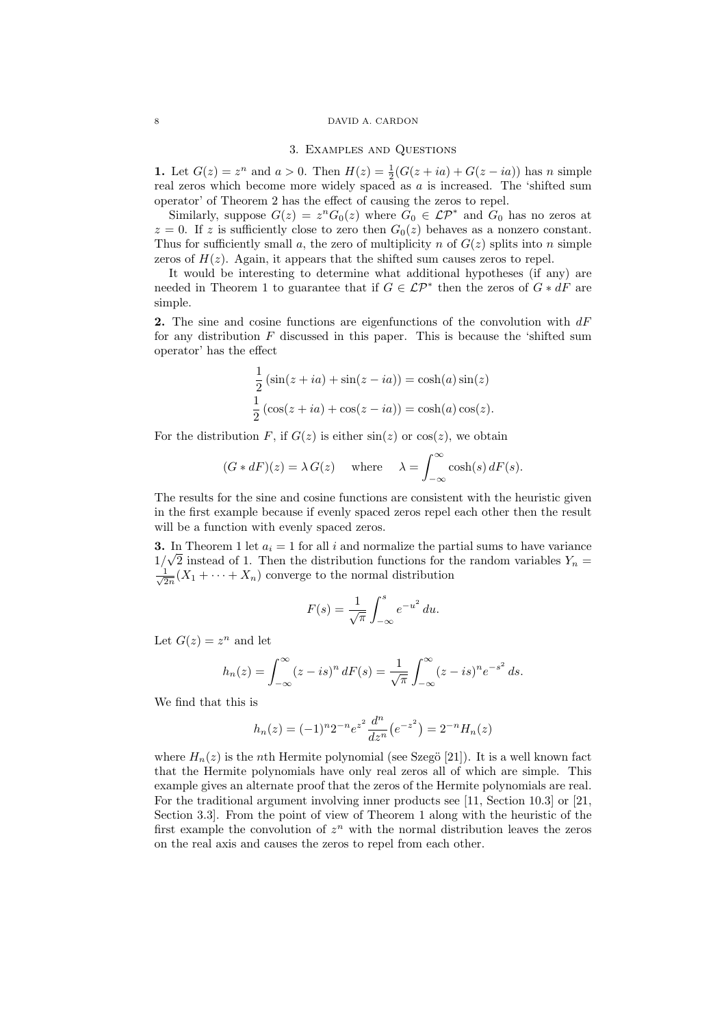### 8 DAVID A. CARDON

#### 3. Examples and Questions

1. Let  $G(z) = z^n$  and  $a > 0$ . Then  $H(z) = \frac{1}{2}(G(z + ia) + G(z - ia))$  has n simple real zeros which become more widely spaced as a is increased. The 'shifted sum operator' of Theorem 2 has the effect of causing the zeros to repel.

Similarly, suppose  $G(z) = z^n G_0(z)$  where  $G_0 \in \mathcal{LP}^*$  and  $G_0$  has no zeros at  $z = 0$ . If z is sufficiently close to zero then  $G_0(z)$  behaves as a nonzero constant. Thus for sufficiently small a, the zero of multiplicity n of  $G(z)$  splits into n simple zeros of  $H(z)$ . Again, it appears that the shifted sum causes zeros to repel.

It would be interesting to determine what additional hypotheses (if any) are needed in Theorem 1 to guarantee that if  $G \in \mathcal{LP}^*$  then the zeros of  $G * dF$  are simple.

2. The sine and cosine functions are eigenfunctions of the convolution with  $dF$ for any distribution  $F$  discussed in this paper. This is because the 'shifted sum operator' has the effect

$$
\frac{1}{2}(\sin(z+ia) + \sin(z-ia)) = \cosh(a)\sin(z)
$$

$$
\frac{1}{2}(\cos(z+ia) + \cos(z-ia)) = \cosh(a)\cos(z).
$$

For the distribution F, if  $G(z)$  is either  $sin(z)$  or  $cos(z)$ , we obtain

$$
(G * dF)(z) = \lambda G(z)
$$
 where  $\lambda = \int_{-\infty}^{\infty} \cosh(s) dF(s)$ .

The results for the sine and cosine functions are consistent with the heuristic given in the first example because if evenly spaced zeros repel each other then the result will be a function with evenly spaced zeros.

**3.** In Theorem 1 let  $a_i = 1$  for all i and normalize the partial sums to have variance  $1/\sqrt{2}$  instead of 1. Then the distribution functions for the random variables  $Y_n =$  $\frac{1}{\sqrt{2}}$  $\frac{1}{2n}(X_1 + \cdots + X_n)$  converge to the normal distribution

$$
F(s) = \frac{1}{\sqrt{\pi}} \int_{-\infty}^{s} e^{-u^2} du.
$$

Let  $G(z) = z^n$  and let

$$
h_n(z) = \int_{-\infty}^{\infty} (z - is)^n dF(s) = \frac{1}{\sqrt{\pi}} \int_{-\infty}^{\infty} (z - is)^n e^{-s^2} ds.
$$

We find that this is

$$
h_n(z) = (-1)^n 2^{-n} e^{z^2} \frac{d^n}{dz^n} (e^{-z^2}) = 2^{-n} H_n(z)
$$

where  $H_n(z)$  is the nth Hermite polynomial (see Szegö [21]). It is a well known fact that the Hermite polynomials have only real zeros all of which are simple. This example gives an alternate proof that the zeros of the Hermite polynomials are real. For the traditional argument involving inner products see [11, Section 10.3] or [21, Section 3.3]. From the point of view of Theorem 1 along with the heuristic of the first example the convolution of  $z<sup>n</sup>$  with the normal distribution leaves the zeros on the real axis and causes the zeros to repel from each other.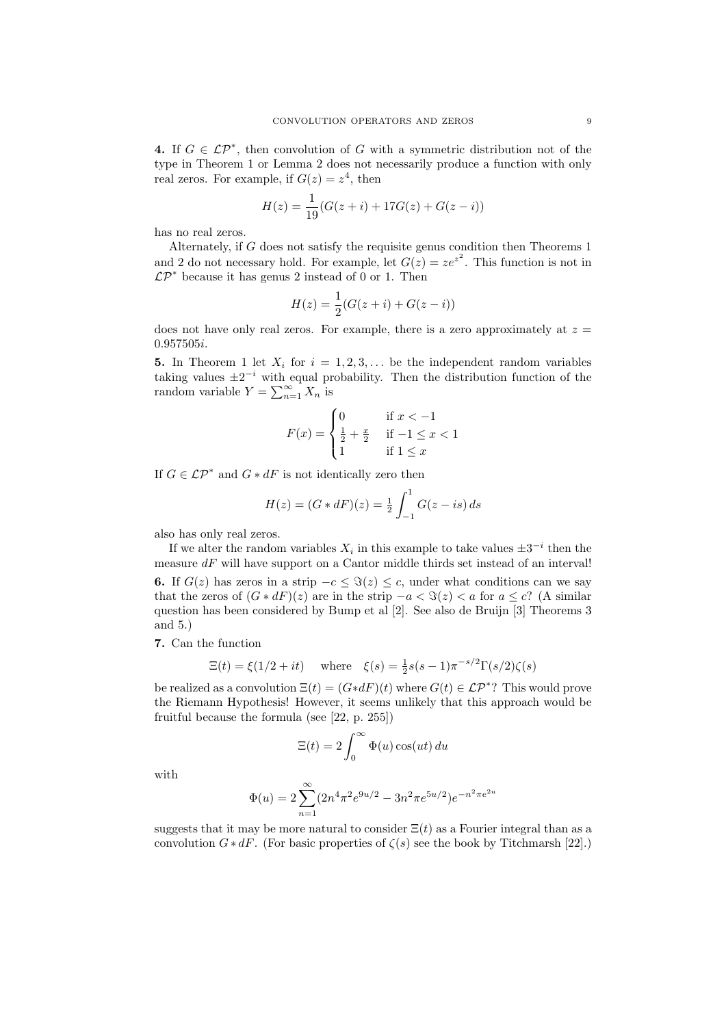4. If  $G \in \mathcal{LP}^*$ , then convolution of G with a symmetric distribution not of the type in Theorem 1 or Lemma 2 does not necessarily produce a function with only real zeros. For example, if  $G(z) = z<sup>4</sup>$ , then

$$
H(z) = \frac{1}{19}(G(z+i) + 17G(z) + G(z-i))
$$

has no real zeros.

Alternately, if G does not satisfy the requisite genus condition then Theorems 1 and 2 do not necessary hold. For example, let  $G(z) = ze^{z^2}$ . This function is not in  $\mathcal{LP}^*$  because it has genus 2 instead of 0 or 1. Then

$$
H(z) = \frac{1}{2}(G(z+i) + G(z-i))
$$

does not have only real zeros. For example, there is a zero approximately at  $z =$ 0.957505i.

5. In Theorem 1 let  $X_i$  for  $i = 1, 2, 3, \ldots$  be the independent random variables taking values  $\pm 2^{-i}$  with equal probability. Then the distribution function of the random variable  $Y = \sum_{n=1}^{\infty} X_n$  is

$$
F(x) = \begin{cases} 0 & \text{if } x < -1 \\ \frac{1}{2} + \frac{x}{2} & \text{if } -1 \le x < 1 \\ 1 & \text{if } 1 \le x \end{cases}
$$

If  $G \in \mathcal{LP}^*$  and  $G * dF$  is not identically zero then

$$
H(z) = (G * dF)(z) = \frac{1}{2} \int_{-1}^{1} G(z - is) ds
$$

also has only real zeros.

If we alter the random variables  $X_i$  in this example to take values  $\pm 3^{-i}$  then the measure  $dF$  will have support on a Cantor middle thirds set instead of an interval! **6.** If  $G(z)$  has zeros in a strip  $-c \leq \Im(z) \leq c$ , under what conditions can we say that the zeros of  $(G * dF)(z)$  are in the strip  $-a < \Im(z) < a$  for  $a \leq c$ ? (A similar question has been considered by Bump et al [2]. See also de Bruijn [3] Theorems 3 and 5.)

7. Can the function

$$
\Xi(t) = \xi(1/2 + it) \quad \text{where} \quad \xi(s) = \frac{1}{2}s(s-1)\pi^{-s/2}\Gamma(s/2)\zeta(s)
$$

be realized as a convolution  $\Xi(t) = (G * dF)(t)$  where  $G(t) \in \mathcal{LP}^*$ ? This would prove the Riemann Hypothesis! However, it seems unlikely that this approach would be fruitful because the formula (see [22, p. 255])

$$
\Xi(t) = 2 \int_0^\infty \Phi(u) \cos(ut) \, du
$$

with

$$
\Phi(u) = 2\sum_{n=1}^{\infty} (2n^4 \pi^2 e^{9u/2} - 3n^2 \pi e^{5u/2}) e^{-n^2 \pi e^{2u}}
$$

suggests that it may be more natural to consider  $\Xi(t)$  as a Fourier integral than as a convolution  $G * dF$ . (For basic properties of  $\zeta(s)$  see the book by Titchmarsh [22].)